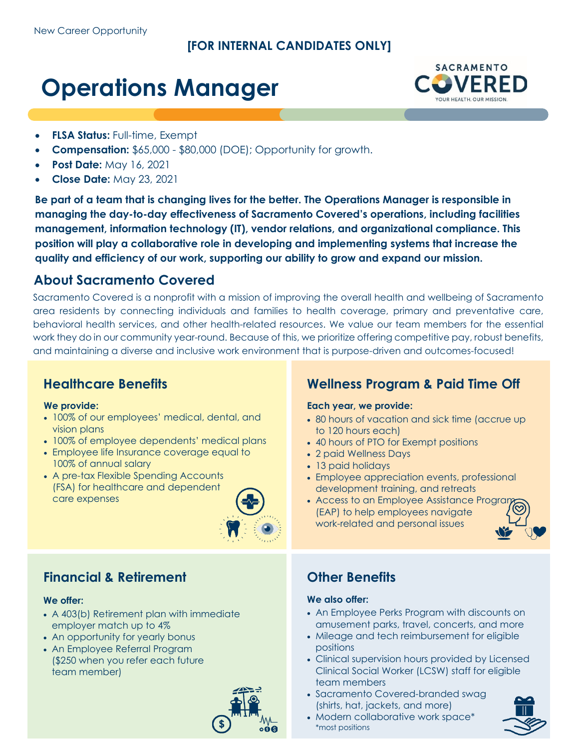### **[FOR INTERNAL CANDIDATES ONLY]**

# **Operations Manager**



- **FLSA Status:** Full-time, Exempt
- **Compensation:** \$65,000 \$80,000 (DOE); Opportunity for growth.
- **Post Date:** May 16, 2021
- **Close Date:** May 23, 2021

**Be part of a team that is changing lives for the better. The Operations Manager is responsible in managing the day-to-day effectiveness of Sacramento Covered's operations, including facilities management, information technology (IT), vendor relations, and organizational compliance. This position will play a collaborative role in developing and implementing systems that increase the quality and efficiency of our work, supporting our ability to grow and expand our mission.**

## **About Sacramento Covered**

Sacramento Covered is a nonprofit with a mission of improving the overall health and wellbeing of Sacramento area residents by connecting individuals and families to health coverage, primary and preventative care, behavioral health services, and other health-related resources. We value our team members for the essential work they do in our community year-round. Because of this, we prioritize offering competitive pay, robust benefits, and maintaining a diverse and inclusive work environment that is purpose-driven and outcomes-focused!

### **Healthcare Benefits**

### **We provide:**

- 100% of our employees' medical, dental, and vision plans
- 100% of employee dependents' medical plans
- Employee life Insurance coverage equal to 100% of annual salary
- A pre-tax Flexible Spending Accounts (FSA) for healthcare and dependent care expenses



## **Financial & Retirement**

### **We offer:**

- A 403(b) Retirement plan with immediate employer match up to 4%
- An opportunity for yearly bonus
- An Employee Referral Program (\$250 when you refer each future team member)



# **Wellness Program & Paid Time Off**

### **Each year, we provide:**

- 80 hours of vacation and sick time (accrue up to 120 hours each)
- 40 hours of PTO for Exempt positions
- 2 paid Wellness Days
- 13 paid holidays
- Employee appreciation events, professional development training, and retreats
- Access to an Employee Assistance Program (EAP) to help employees navigate work-related and personal issues



## **Other Benefits**

### **We also offer:**

- An Employee Perks Program with discounts on amusement parks, travel, concerts, and more
- Mileage and tech reimbursement for eligible positions
- Clinical supervision hours provided by Licensed Clinical Social Worker (LCSW) staff for eligible team members
- Sacramento Covered-branded swag (shirts, hat, jackets, and more)
- Modern collaborative work space\* \*most positions

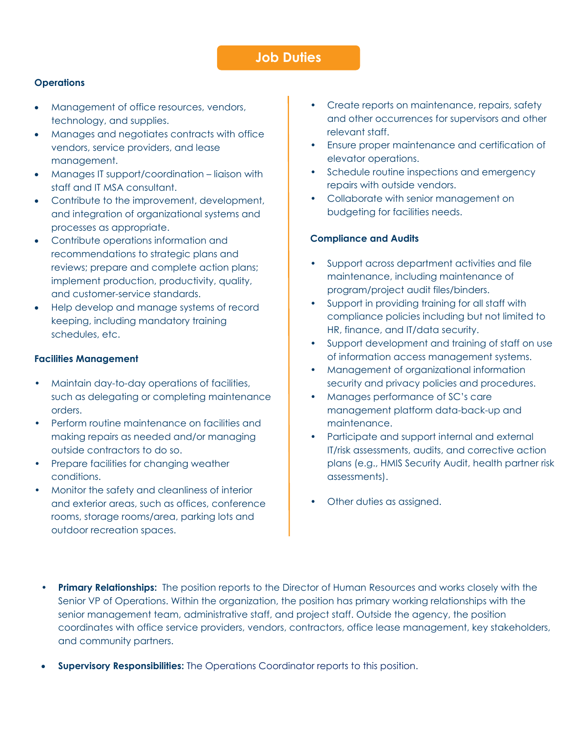#### **Operations**

- Management of office resources, vendors, technology, and supplies.
- Manages and negotiates contracts with office vendors, service providers, and lease management.
- Manages IT support/coordination liaison with staff and IT MSA consultant.
- Contribute to the improvement, development, and integration of organizational systems and processes as appropriate.
- Contribute operations information and recommendations to strategic plans and reviews; prepare and complete action plans; implement production, productivity, quality, and customer-service standards.
- Help develop and manage systems of record keeping, including mandatory training schedules, etc.

#### **Facilities Management**

- Maintain day-to-day operations of facilities, such as delegating or completing maintenance orders.
- Perform routine maintenance on facilities and making repairs as needed and/or managing outside contractors to do so.
- Prepare facilities for changing weather conditions.
- Monitor the safety and cleanliness of interior and exterior areas, such as offices, conference rooms, storage rooms/area, parking lots and outdoor recreation spaces.
- Create reports on maintenance, repairs, safety and other occurrences for supervisors and other relevant staff.
- Ensure proper maintenance and certification of elevator operations.
- Schedule routine inspections and emergency repairs with outside vendors.
- Collaborate with senior management on budgeting for facilities needs.

#### **Compliance and Audits**

- Support across department activities and file maintenance, including maintenance of program/project audit files/binders.
- Support in providing training for all staff with compliance policies including but not limited to HR, finance, and IT/data security.
- Support development and training of staff on use of information access management systems.
- Management of organizational information security and privacy policies and procedures.
- Manages performance of SC's care management platform data-back-up and maintenance.
- Participate and support internal and external IT/risk assessments, audits, and corrective action plans (e.g., HMIS Security Audit, health partner risk assessments).
- Other duties as assigned.
- **Primary Relationships:** The position reports to the Director of Human Resources and works closely with the Senior VP of Operations. Within the organization, the position has primary working relationships with the senior management team, administrative staff, and project staff. Outside the agency, the position coordinates with office service providers, vendors, contractors, office lease management, key stakeholders, and community partners.
- **Supervisory Responsibilities:** The Operations Coordinator reports to this position.